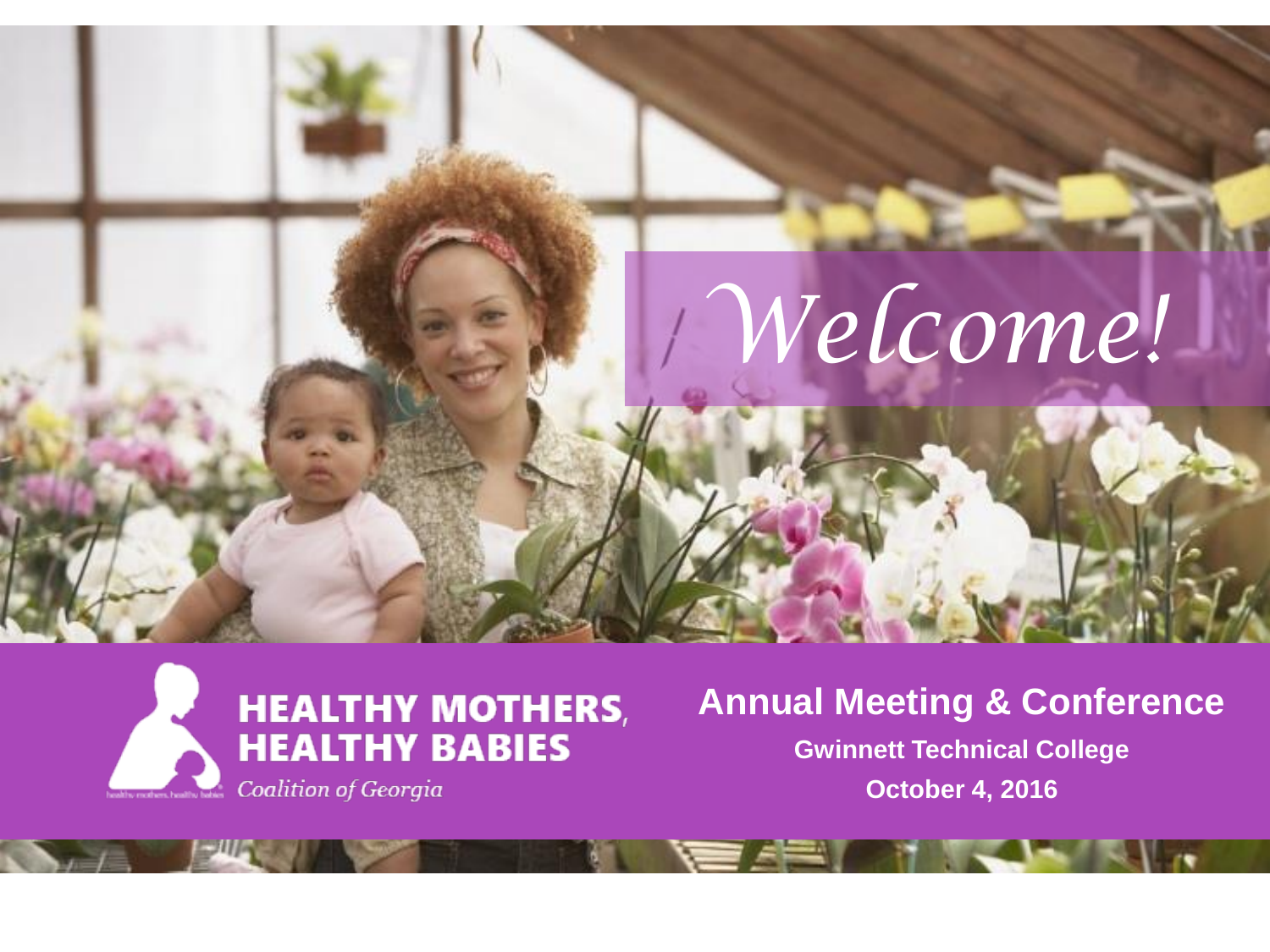



#### **Annual Meeting & Conference**

**Gwinnett Technical College October 4, 2016**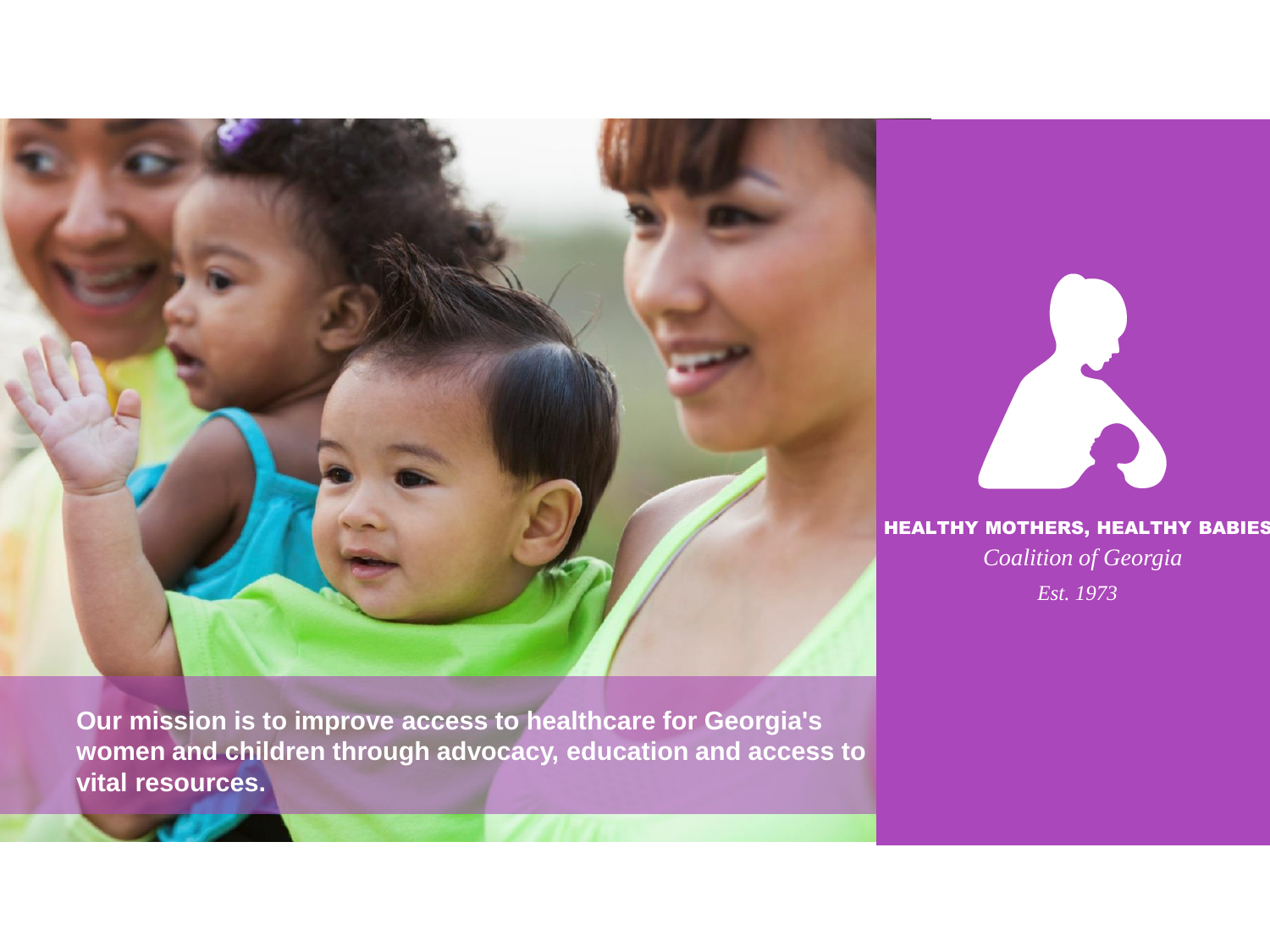

**Our mission is to improve access to healthcare for Georgia's women and children through advocacy, education and access to vital resources.** 



#### HEALTHY MOTHERS, HEALTHY BABIES

*Coalition of Georgia Est. 1973*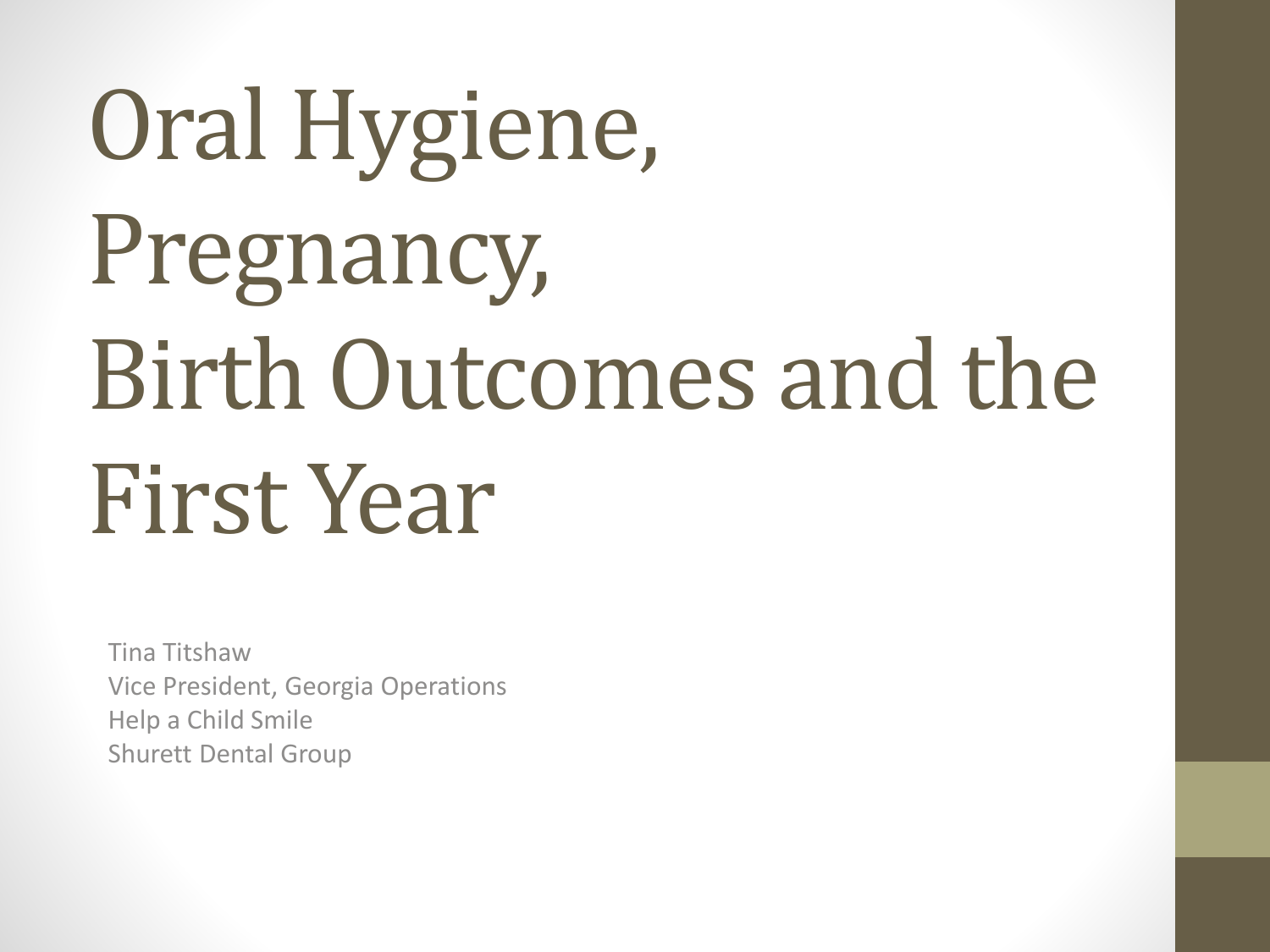# Oral Hygiene, Pregnancy, Birth Outcomes and the First Year

Tina Titshaw Vice President, Georgia Operations Help a Child Smile Shurett Dental Group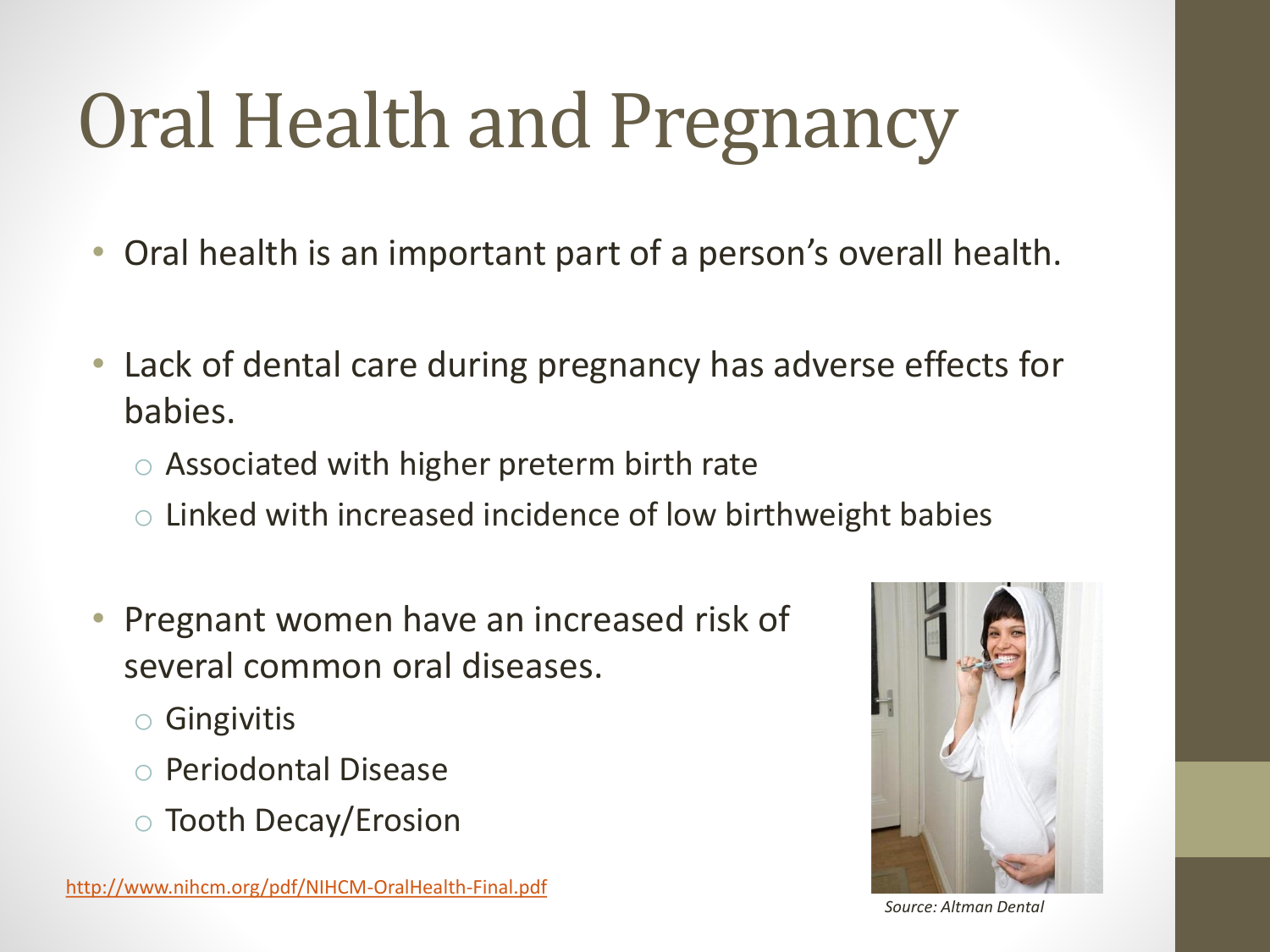## Oral Health and Pregnancy

- Oral health is an important part of a person's overall health.
- Lack of dental care during pregnancy has adverse effects for babies.
	- o Associated with higher preterm birth rate
	- $\circ$  Linked with increased incidence of low birthweight babies
- Pregnant women have an increased risk of several common oral diseases.
	- o Gingivitis
	- o Periodontal Disease
	- o Tooth Decay/Erosion



*Source: Altman Dental*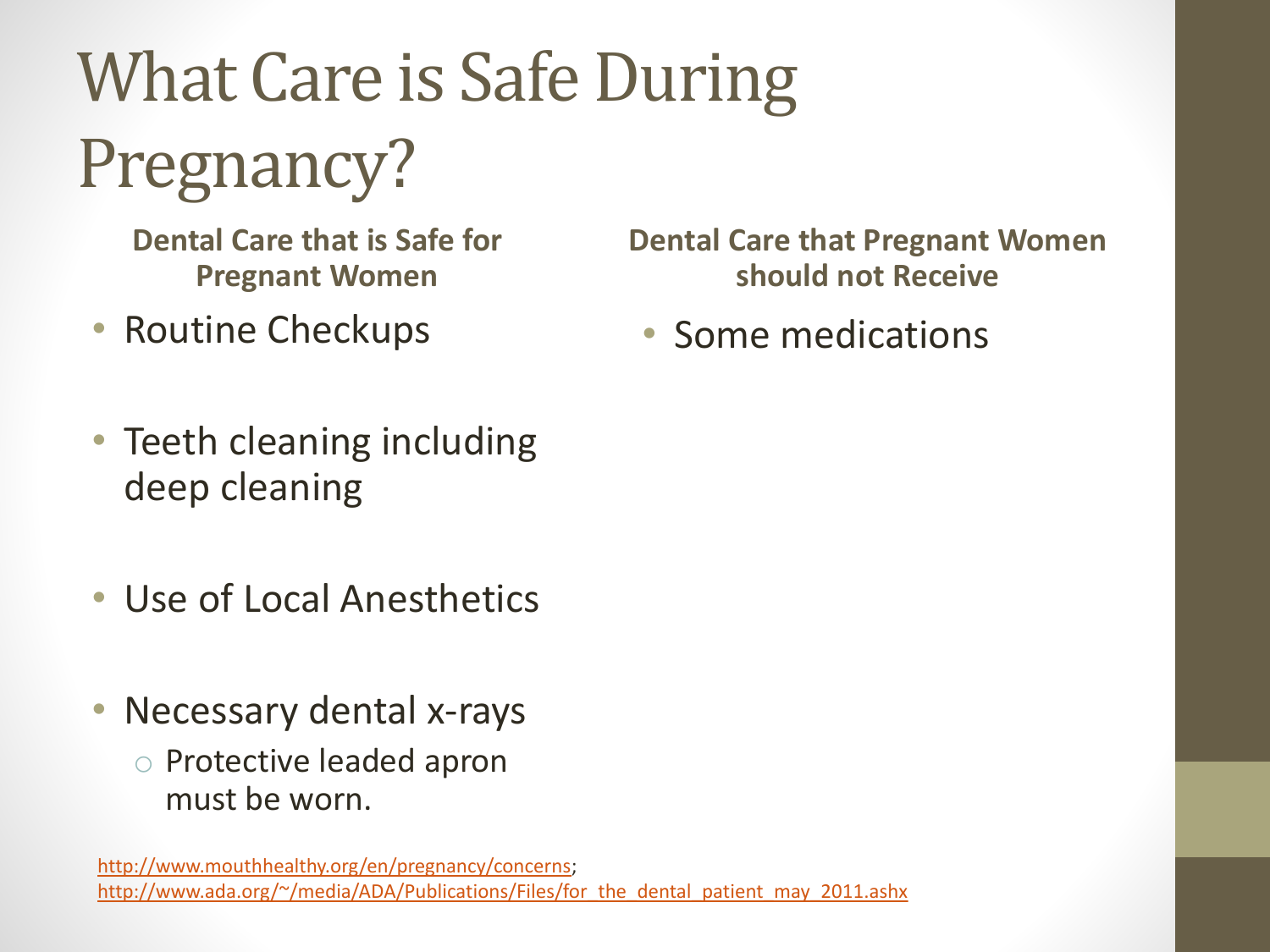What Care is Safe During Pregnancy?

**Dental Care that is Safe for Pregnant Women**

- Routine Checkups
- Teeth cleaning including deep cleaning
- Use of Local Anesthetics
- Necessary dental x-rays
	- o Protective leaded apron must be worn.

[http://www.mouthhealthy.org/en/pregnancy/concerns;](http://www.mouthhealthy.org/en/pregnancy/concerns) http://www.ada.org/~/media/ADA/Publications/Files/for the dental patient may 2011.ashx

**Dental Care that Pregnant Women should not Receive**

• Some medications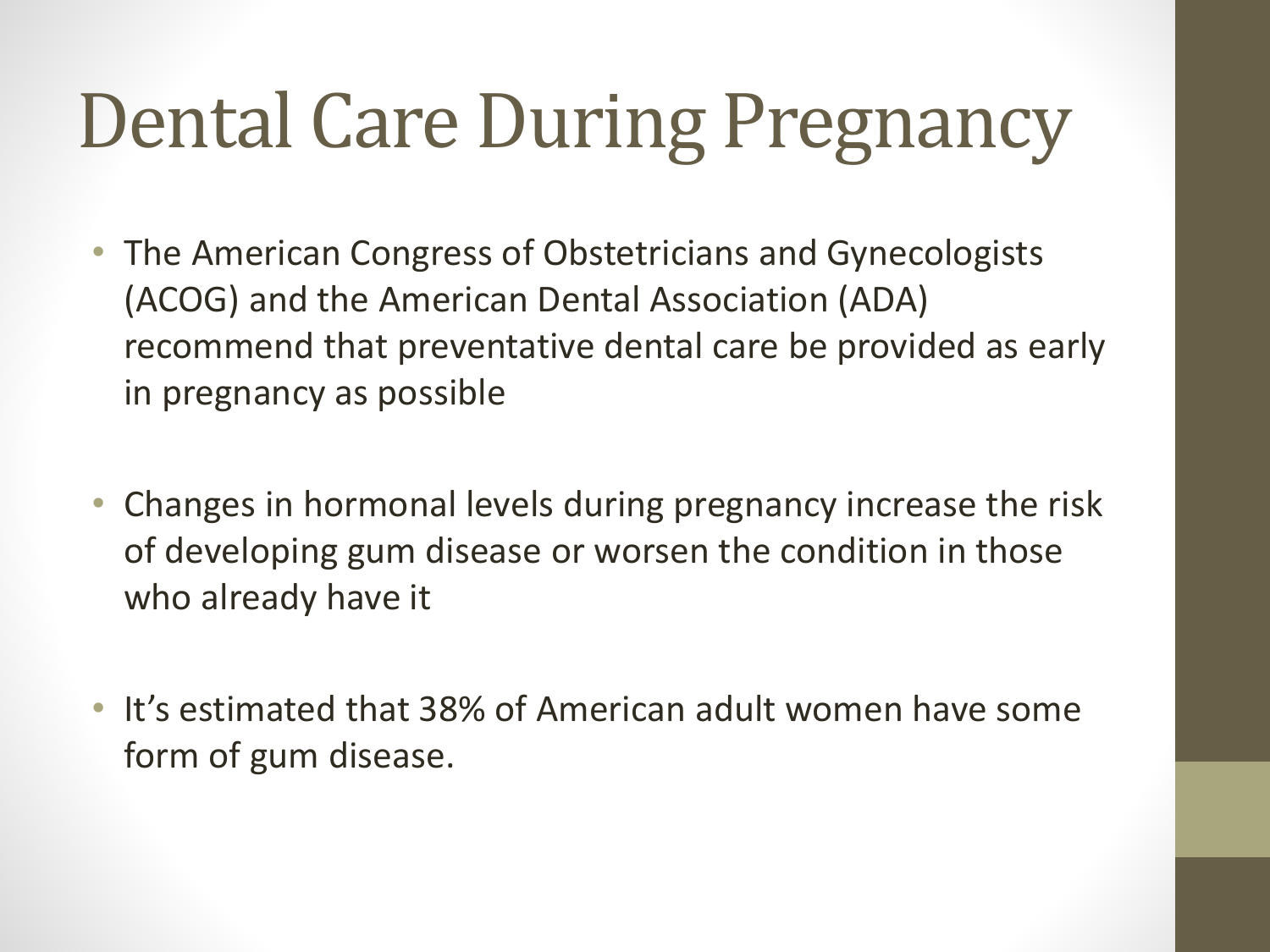#### Dental Care During Pregnancy

- The American Congress of Obstetricians and Gynecologists (ACOG) and the American Dental Association (ADA) recommend that preventative dental care be provided as early in pregnancy as possible
- Changes in hormonal levels during pregnancy increase the risk of developing gum disease or worsen the condition in those who already have it
- It's estimated that 38% of American adult women have some form of gum disease.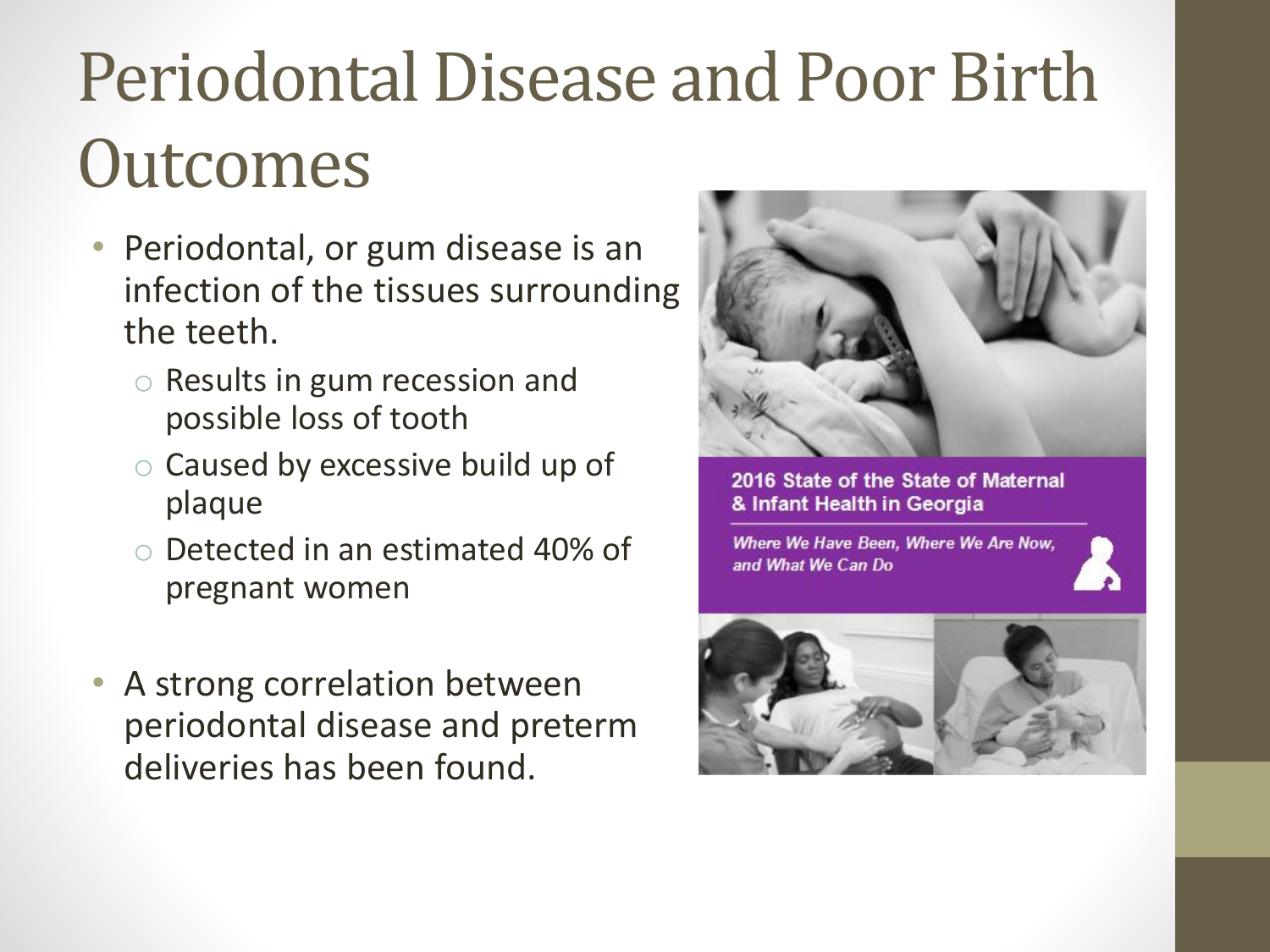#### Periodontal Disease and Poor Birth **Outcomes**

- Periodontal, or gum disease is an infection of the tissues surrounding the teeth.
	- o Results in gum recession and possible loss of tooth
	- o Caused by excessive build up of plaque
	- o Detected in an estimated 40% of pregnant women
- A strong correlation between periodontal disease and preterm deliveries has been found.



2016 State of the State of Maternal & Infant Health in Georgia

Where We Have Been. Where We Are Now. and What We Can Do

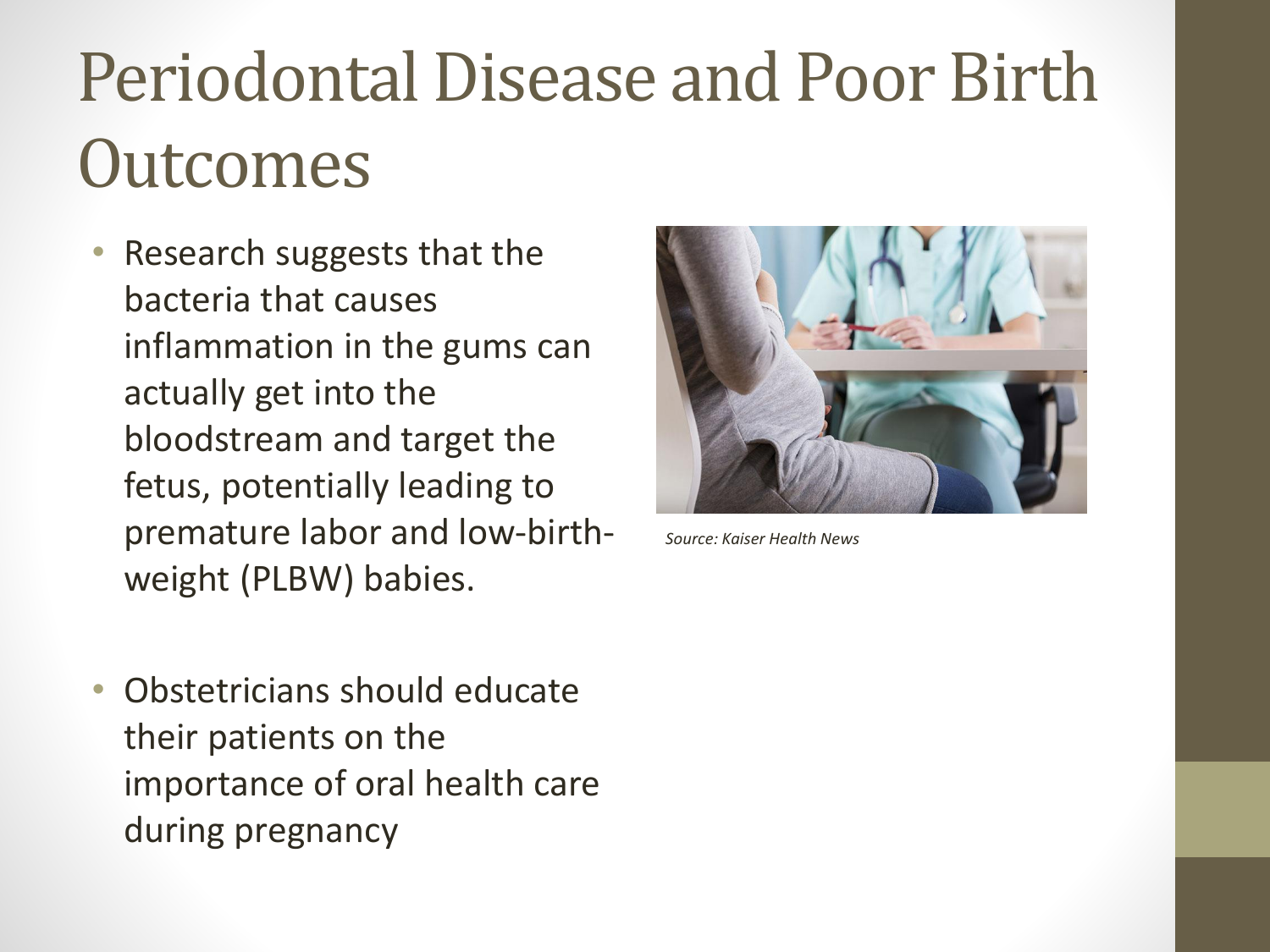#### Periodontal Disease and Poor Birth **Outcomes**

- Research suggests that the bacteria that causes inflammation in the gums can actually get into the bloodstream and target the fetus, potentially leading to premature labor and low-birthweight (PLBW) babies.
- 

*Source: Kaiser Health News*

• Obstetricians should educate their patients on the importance of oral health care during pregnancy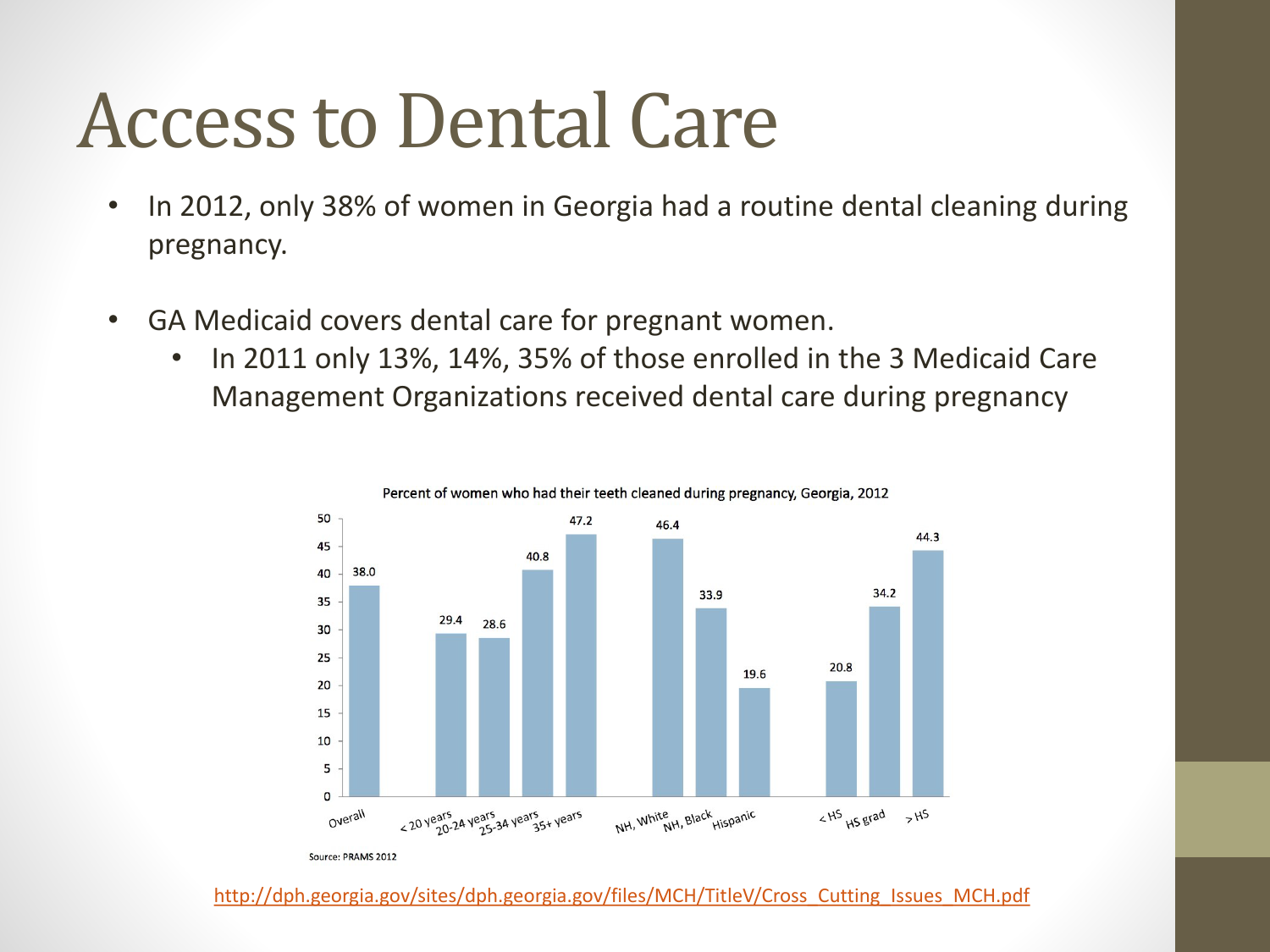#### Access to Dental Care

- In 2012, only 38% of women in Georgia had a routine dental cleaning during pregnancy.
- GA Medicaid covers dental care for pregnant women.
	- In 2011 only 13%, 14%, 35% of those enrolled in the 3 Medicaid Care Management Organizations received dental care during pregnancy



[http://dph.georgia.gov/sites/dph.georgia.gov/files/MCH/TitleV/Cross\\_Cutting\\_Issues\\_MCH.pdf](http://dph.georgia.gov/sites/dph.georgia.gov/files/MCH/TitleV/Cross_Cutting_Issues_MCH.pdf)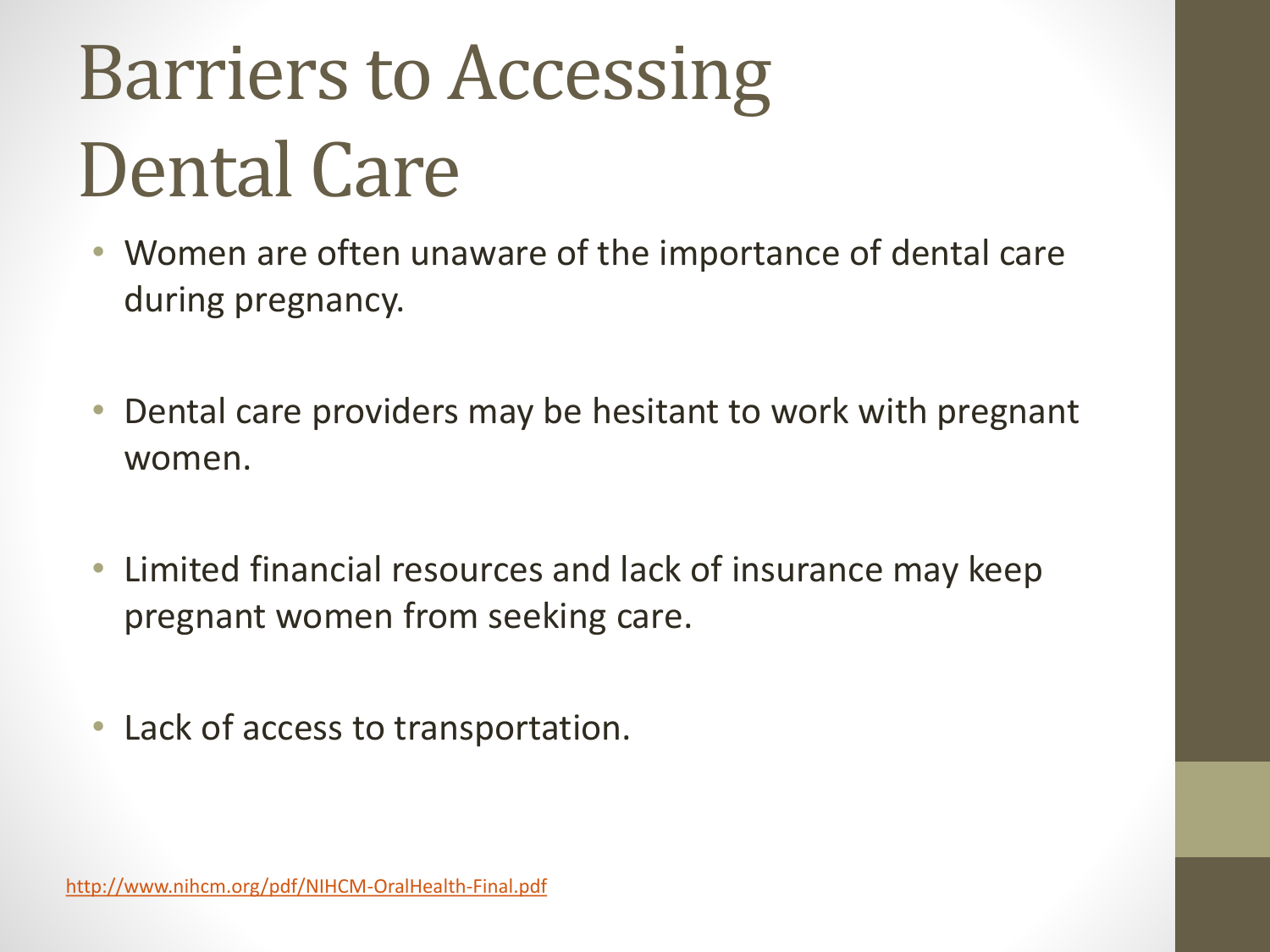## Barriers to Accessing Dental Care

- Women are often unaware of the importance of dental care during pregnancy.
- Dental care providers may be hesitant to work with pregnant women.
- Limited financial resources and lack of insurance may keep pregnant women from seeking care.
- Lack of access to transportation.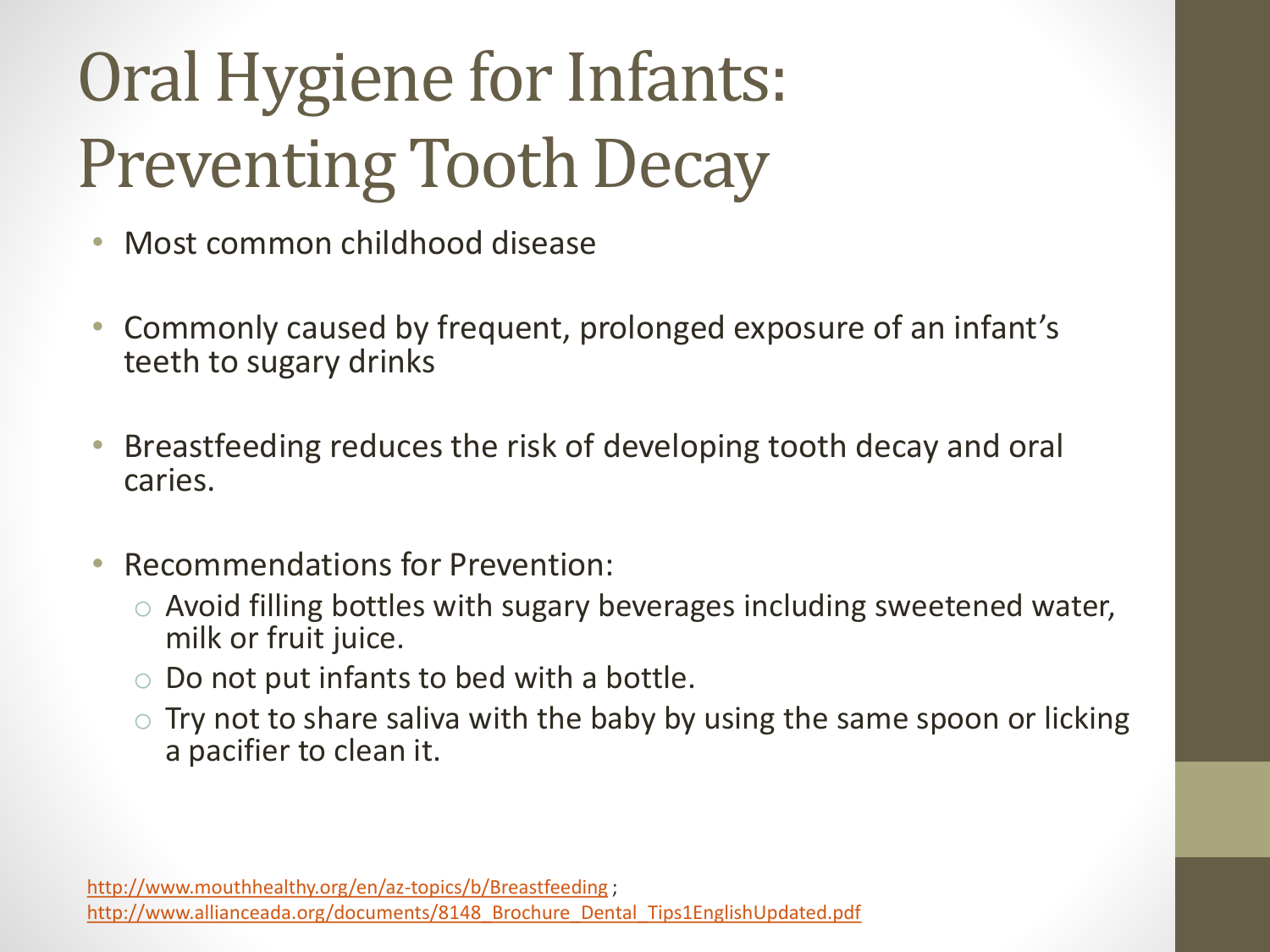#### Oral Hygiene for Infants: Preventing Tooth Decay

- Most common childhood disease
- Commonly caused by frequent, prolonged exposure of an infant's teeth to sugary drinks
- Breastfeeding reduces the risk of developing tooth decay and oral caries.
- Recommendations for Prevention:
	- o Avoid filling bottles with sugary beverages including sweetened water, milk or fruit juice.
	- o Do not put infants to bed with a bottle.
	- $\circ$  Try not to share saliva with the baby by using the same spoon or licking a pacifier to clean it.

<http://www.mouthhealthy.org/en/az-topics/b/Breastfeeding> ; [http://www.allianceada.org/documents/8148\\_Brochure\\_Dental\\_Tips1EnglishUpdated.pdf](http://www.allianceada.org/documents/8148_Brochure_Dental_Tips1EnglishUpdated.pdf)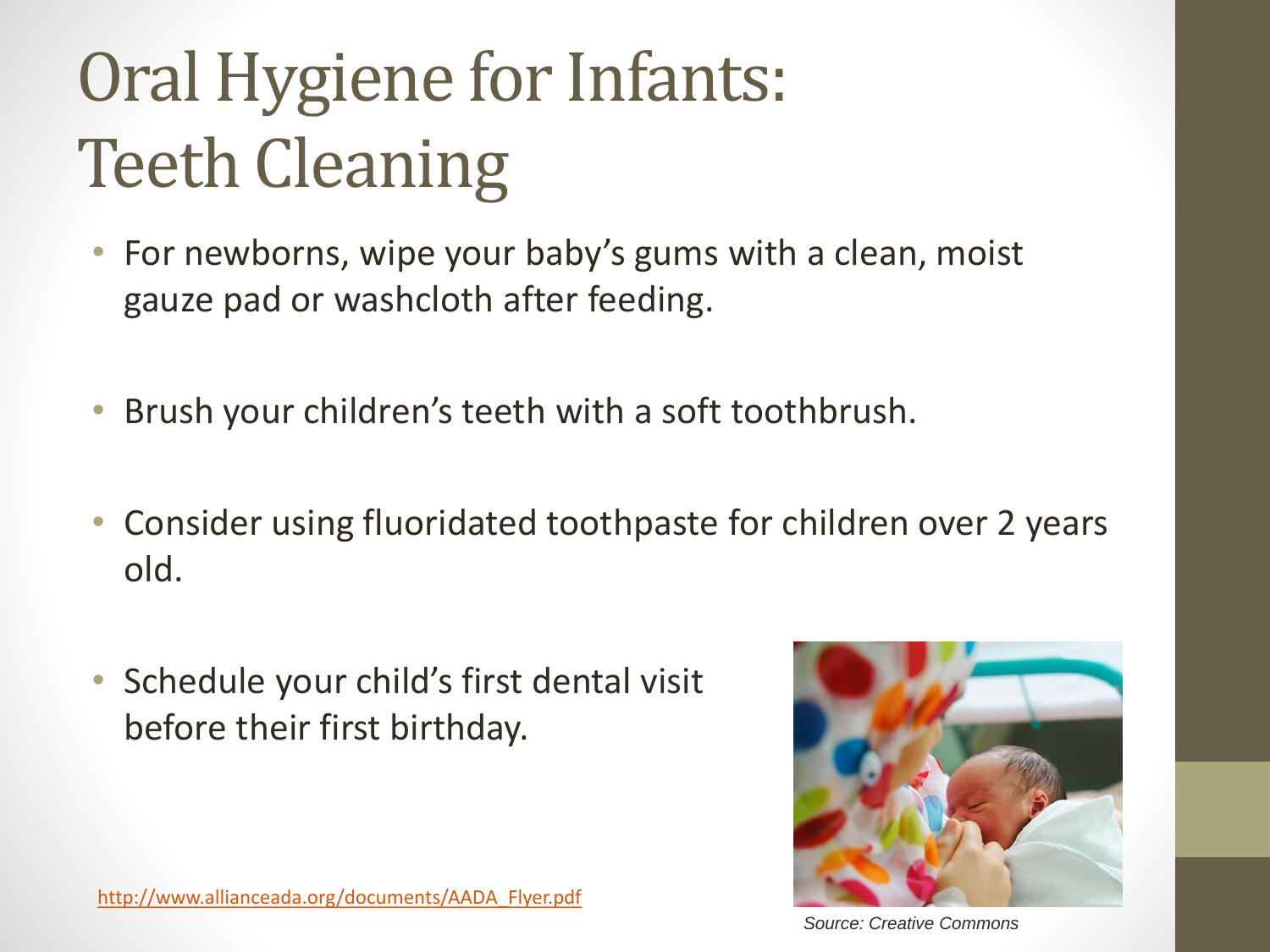#### Oral Hygiene for Infants: Teeth Cleaning

- For newborns, wipe your baby's gums with a clean, moist gauze pad or washcloth after feeding.
- Brush your children's teeth with a soft toothbrush.
- Consider using fluoridated toothpaste for children over 2 years old.
- Schedule your child's first dental visit before their first birthday.



[http://www.allianceada.org/documents/AADA\\_Flyer.pdf](http://www.allianceada.org/documents/AADA_Flyer.pdf)

*Source: Creative Commons*